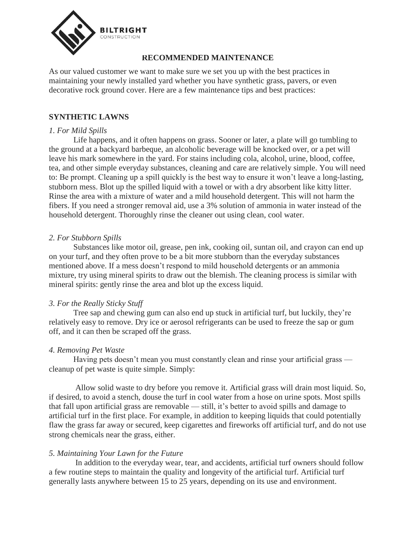

# **RECOMMENDED MAINTENANCE**

As our valued customer we want to make sure we set you up with the best practices in maintaining your newly installed yard whether you have synthetic grass, pavers, or even decorative rock ground cover. Here are a few maintenance tips and best practices:

# **SYNTHETIC LAWNS**

### *1. For Mild Spills*

 Life happens, and it often happens on grass. Sooner or later, a plate will go tumbling to the ground at a backyard barbeque, an alcoholic beverage will be knocked over, or a pet will leave his mark somewhere in the yard. For stains including cola, alcohol, urine, blood, coffee, tea, and other simple everyday substances, cleaning and care are relatively simple. You will need to: Be prompt. Cleaning up a spill quickly is the best way to ensure it won't leave a long-lasting, stubborn mess. Blot up the spilled liquid with a towel or with a dry absorbent like kitty litter. Rinse the area with a mixture of water and a mild household detergent. This will not harm the fibers. If you need a stronger removal aid, use a 3% solution of ammonia in water instead of the household detergent. Thoroughly rinse the cleaner out using clean, cool water.

## *2. For Stubborn Spills*

Substances like motor oil, grease, pen ink, cooking oil, suntan oil, and crayon can end up on your turf, and they often prove to be a bit more stubborn than the everyday substances mentioned above. If a mess doesn't respond to mild household detergents or an ammonia mixture, try using mineral spirits to draw out the blemish. The cleaning process is similar with mineral spirits: gently rinse the area and blot up the excess liquid.

### *3. For the Really Sticky Stuff*

Tree sap and chewing gum can also end up stuck in artificial turf, but luckily, they're relatively easy to remove. Dry ice or aerosol refrigerants can be used to freeze the sap or gum off, and it can then be scraped off the grass.

### *4. Removing Pet Waste*

Having pets doesn't mean you must constantly clean and rinse your artificial grass cleanup of pet waste is quite simple. Simply:

 Allow solid waste to dry before you remove it. Artificial grass will drain most liquid. So, if desired, to avoid a stench, douse the turf in cool water from a hose on urine spots. Most spills that fall upon artificial grass are removable — still, it's better to avoid spills and damage to artificial turf in the first place. For example, in addition to keeping liquids that could potentially flaw the grass far away or secured, keep cigarettes and fireworks off artificial turf, and do not use strong chemicals near the grass, either.

# *5. Maintaining Your Lawn for the Future*

 In addition to the everyday wear, tear, and accidents, artificial turf owners should follow a few routine steps to maintain the quality and longevity of the artificial turf. Artificial turf generally lasts anywhere between 15 to 25 years, depending on its use and environment.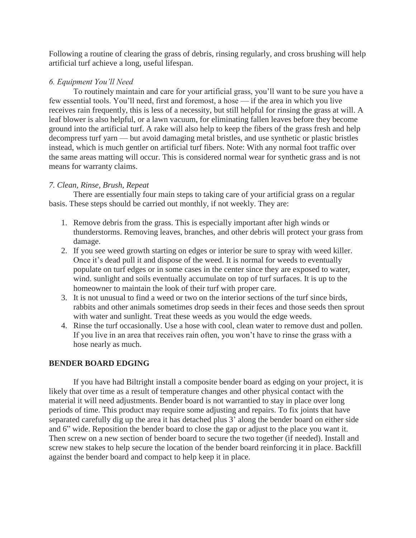Following a routine of clearing the grass of debris, rinsing regularly, and cross brushing will help artificial turf achieve a long, useful lifespan.

## *6. Equipment You'll Need*

 To routinely maintain and care for your artificial grass, you'll want to be sure you have a few essential tools. You'll need, first and foremost, a hose — if the area in which you live receives rain frequently, this is less of a necessity, but still helpful for rinsing the grass at will. A leaf blower is also helpful, or a lawn vacuum, for eliminating fallen leaves before they become ground into the artificial turf. A rake will also help to keep the fibers of the grass fresh and help decompress turf yarn — but avoid damaging metal bristles, and use synthetic or plastic bristles instead, which is much gentler on artificial turf fibers. Note: With any normal foot traffic over the same areas matting will occur. This is considered normal wear for synthetic grass and is not means for warranty claims.

# *7. Clean, Rinse, Brush, Repeat*

There are essentially four main steps to taking care of your artificial grass on a regular basis. These steps should be carried out monthly, if not weekly. They are:

- 1. Remove debris from the grass. This is especially important after high winds or thunderstorms. Removing leaves, branches, and other debris will protect your grass from damage.
- 2. If you see weed growth starting on edges or interior be sure to spray with weed killer. Once it's dead pull it and dispose of the weed. It is normal for weeds to eventually populate on turf edges or in some cases in the center since they are exposed to water, wind. sunlight and soils eventually accumulate on top of turf surfaces. It is up to the homeowner to maintain the look of their turf with proper care.
- 3. It is not unusual to find a weed or two on the interior sections of the turf since birds, rabbits and other animals sometimes drop seeds in their feces and those seeds then sprout with water and sunlight. Treat these weeds as you would the edge weeds.
- 4. Rinse the turf occasionally. Use a hose with cool, clean water to remove dust and pollen. If you live in an area that receives rain often, you won't have to rinse the grass with a hose nearly as much.

# **BENDER BOARD EDGING**

If you have had Biltright install a composite bender board as edging on your project, it is likely that over time as a result of temperature changes and other physical contact with the material it will need adjustments. Bender board is not warrantied to stay in place over long periods of time. This product may require some adjusting and repairs. To fix joints that have separated carefully dig up the area it has detached plus 3' along the bender board on either side and 6" wide. Reposition the bender board to close the gap or adjust to the place you want it. Then screw on a new section of bender board to secure the two together (if needed). Install and screw new stakes to help secure the location of the bender board reinforcing it in place. Backfill against the bender board and compact to help keep it in place.